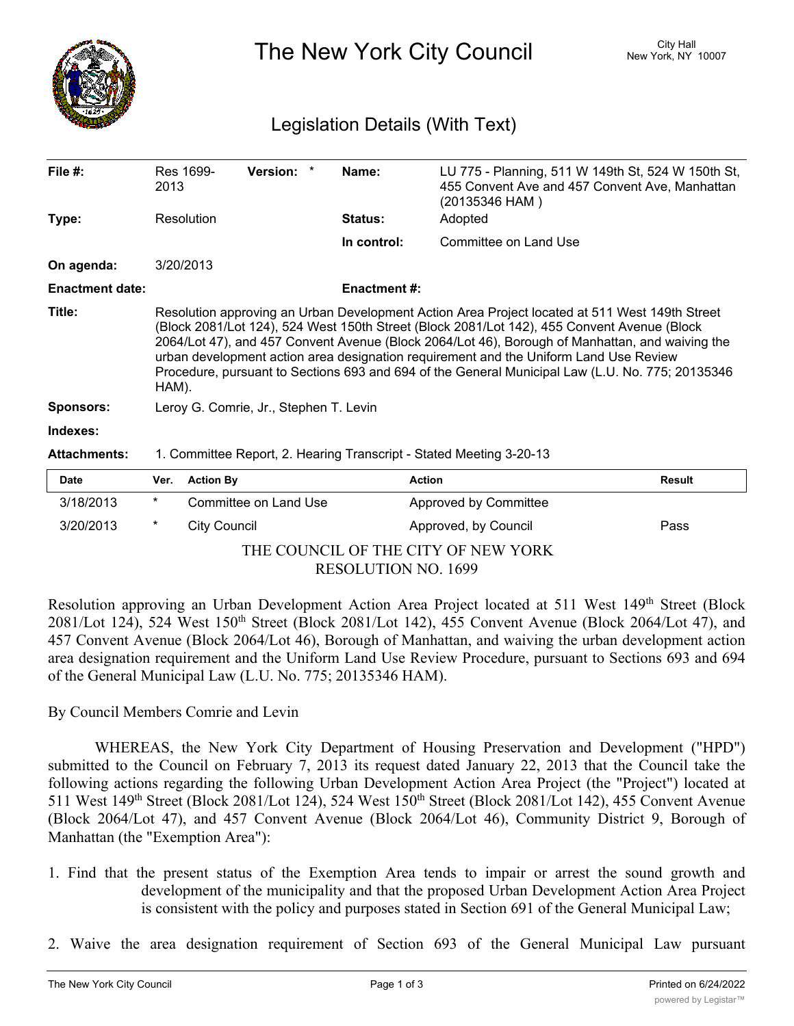

The New York City Council New York, NY 10007

## Legislation Details (With Text)

| File $#$ :             | 2013                                                                                                                                                                                                                                                                                                                                                                                                                                                                                                   | Res 1699-        | Version: *            |  | Name:              | (20135346 HAM)        | LU 775 - Planning, 511 W 149th St, 524 W 150th St,<br>455 Convent Ave and 457 Convent Ave, Manhattan |
|------------------------|--------------------------------------------------------------------------------------------------------------------------------------------------------------------------------------------------------------------------------------------------------------------------------------------------------------------------------------------------------------------------------------------------------------------------------------------------------------------------------------------------------|------------------|-----------------------|--|--------------------|-----------------------|------------------------------------------------------------------------------------------------------|
| Type:                  | Resolution                                                                                                                                                                                                                                                                                                                                                                                                                                                                                             |                  |                       |  | Status:            | Adopted               |                                                                                                      |
|                        |                                                                                                                                                                                                                                                                                                                                                                                                                                                                                                        |                  |                       |  | In control:        | Committee on Land Use |                                                                                                      |
| On agenda:             |                                                                                                                                                                                                                                                                                                                                                                                                                                                                                                        | 3/20/2013        |                       |  |                    |                       |                                                                                                      |
| <b>Enactment date:</b> |                                                                                                                                                                                                                                                                                                                                                                                                                                                                                                        |                  |                       |  | <b>Enactment#:</b> |                       |                                                                                                      |
| Title:                 | Resolution approving an Urban Development Action Area Project located at 511 West 149th Street<br>(Block 2081/Lot 124), 524 West 150th Street (Block 2081/Lot 142), 455 Convent Avenue (Block<br>2064/Lot 47), and 457 Convent Avenue (Block 2064/Lot 46), Borough of Manhattan, and waiving the<br>urban development action area designation requirement and the Uniform Land Use Review<br>Procedure, pursuant to Sections 693 and 694 of the General Municipal Law (L.U. No. 775; 20135346<br>HAM). |                  |                       |  |                    |                       |                                                                                                      |
| <b>Sponsors:</b>       | Leroy G. Comrie, Jr., Stephen T. Levin                                                                                                                                                                                                                                                                                                                                                                                                                                                                 |                  |                       |  |                    |                       |                                                                                                      |
| Indexes:               |                                                                                                                                                                                                                                                                                                                                                                                                                                                                                                        |                  |                       |  |                    |                       |                                                                                                      |
| <b>Attachments:</b>    | 1. Committee Report, 2. Hearing Transcript - Stated Meeting 3-20-13                                                                                                                                                                                                                                                                                                                                                                                                                                    |                  |                       |  |                    |                       |                                                                                                      |
| <b>Date</b>            | Ver.                                                                                                                                                                                                                                                                                                                                                                                                                                                                                                   | <b>Action By</b> |                       |  |                    | <b>Action</b>         | <b>Result</b>                                                                                        |
| 3/18/2013              | $^\star$                                                                                                                                                                                                                                                                                                                                                                                                                                                                                               |                  | Committee on Land Use |  |                    | Approved by Committee |                                                                                                      |
| 3/20/2013              | *                                                                                                                                                                                                                                                                                                                                                                                                                                                                                                      | City Council     |                       |  |                    | Approved, by Council  | Pass                                                                                                 |

THE COUNCIL OF THE CITY OF NEW YORK RESOLUTION NO. 1699

Resolution approving an Urban Development Action Area Project located at 511 West 149<sup>th</sup> Street (Block 2081/Lot 124), 524 West 150<sup>th</sup> Street (Block 2081/Lot 142), 455 Convent Avenue (Block 2064/Lot 47), and 457 Convent Avenue (Block 2064/Lot 46), Borough of Manhattan, and waiving the urban development action area designation requirement and the Uniform Land Use Review Procedure, pursuant to Sections 693 and 694 of the General Municipal Law (L.U. No. 775; 20135346 HAM).

## By Council Members Comrie and Levin

WHEREAS, the New York City Department of Housing Preservation and Development ("HPD") submitted to the Council on February 7, 2013 its request dated January 22, 2013 that the Council take the following actions regarding the following Urban Development Action Area Project (the "Project") located at 511 West 149th Street (Block 2081/Lot 124), 524 West 150th Street (Block 2081/Lot 142), 455 Convent Avenue (Block 2064/Lot 47), and 457 Convent Avenue (Block 2064/Lot 46), Community District 9, Borough of Manhattan (the "Exemption Area"):

- 1. Find that the present status of the Exemption Area tends to impair or arrest the sound growth and development of the municipality and that the proposed Urban Development Action Area Project is consistent with the policy and purposes stated in Section 691 of the General Municipal Law;
- 2. Waive the area designation requirement of Section 693 of the General Municipal Law pursuant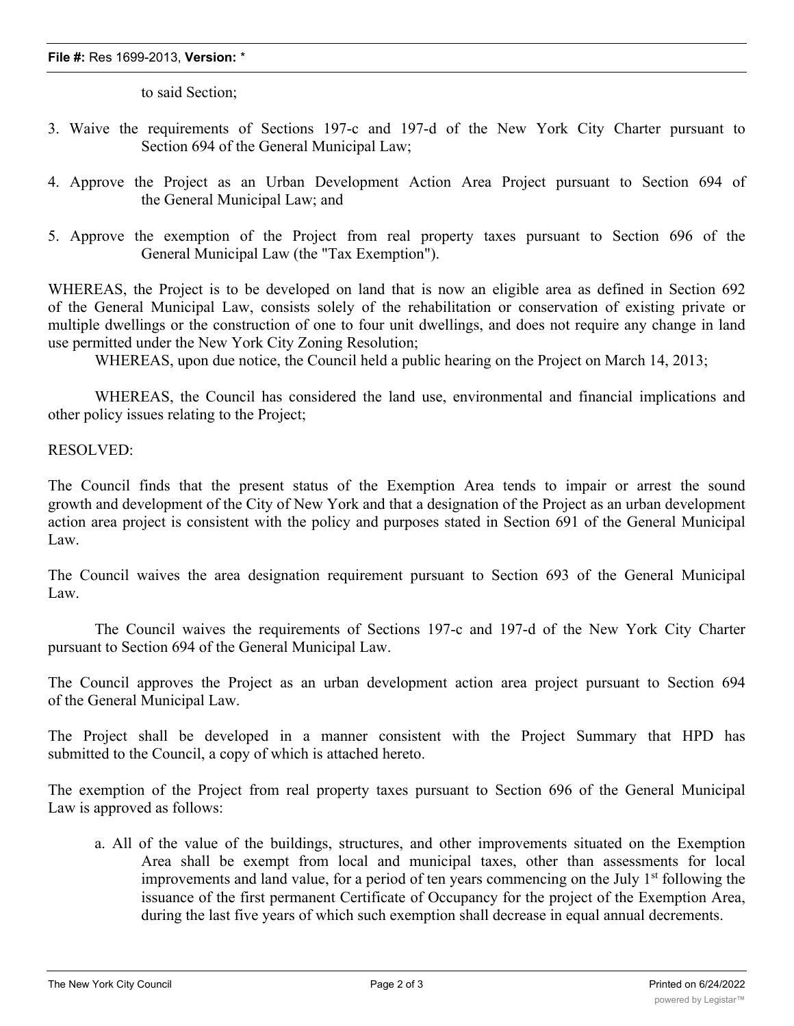## **File #:** Res 1699-2013, **Version:** \*

to said Section;

- 3. Waive the requirements of Sections 197-c and 197-d of the New York City Charter pursuant to Section 694 of the General Municipal Law;
- 4. Approve the Project as an Urban Development Action Area Project pursuant to Section 694 of the General Municipal Law; and
- 5. Approve the exemption of the Project from real property taxes pursuant to Section 696 of the General Municipal Law (the "Tax Exemption").

WHEREAS, the Project is to be developed on land that is now an eligible area as defined in Section 692 of the General Municipal Law, consists solely of the rehabilitation or conservation of existing private or multiple dwellings or the construction of one to four unit dwellings, and does not require any change in land use permitted under the New York City Zoning Resolution;

WHEREAS, upon due notice, the Council held a public hearing on the Project on March 14, 2013;

WHEREAS, the Council has considered the land use, environmental and financial implications and other policy issues relating to the Project;

## RESOLVED:

The Council finds that the present status of the Exemption Area tends to impair or arrest the sound growth and development of the City of New York and that a designation of the Project as an urban development action area project is consistent with the policy and purposes stated in Section 691 of the General Municipal Law.

The Council waives the area designation requirement pursuant to Section 693 of the General Municipal Law.

The Council waives the requirements of Sections 197-c and 197-d of the New York City Charter pursuant to Section 694 of the General Municipal Law.

The Council approves the Project as an urban development action area project pursuant to Section 694 of the General Municipal Law.

The Project shall be developed in a manner consistent with the Project Summary that HPD has submitted to the Council, a copy of which is attached hereto.

The exemption of the Project from real property taxes pursuant to Section 696 of the General Municipal Law is approved as follows:

a. All of the value of the buildings, structures, and other improvements situated on the Exemption Area shall be exempt from local and municipal taxes, other than assessments for local improvements and land value, for a period of ten years commencing on the July  $1<sup>st</sup>$  following the issuance of the first permanent Certificate of Occupancy for the project of the Exemption Area, during the last five years of which such exemption shall decrease in equal annual decrements.